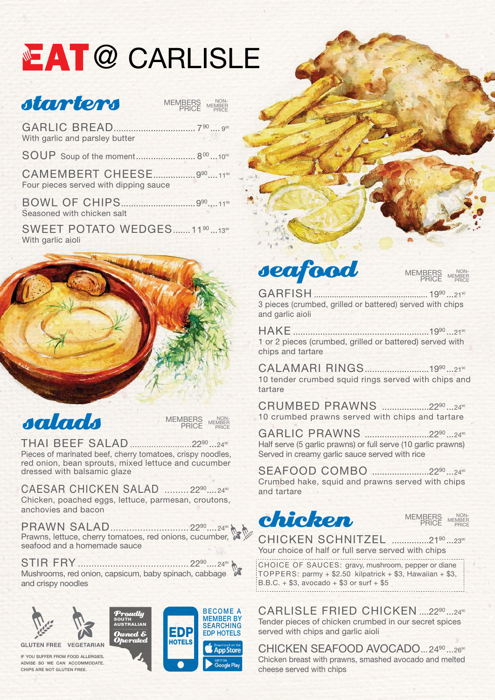### salads

THAI BEEF SALAD ..........................2290 ...2490

Pieces of marinated beef, cherry tomatoes, crispy noodles, red onion, bean sprouts, mixed lettuce and cucumber dressed with balsamic glaze

CAESAR CHICKEN SALAD ......... 22<sup>90</sup>.... 24<sup>90</sup> Chicken, poached eggs, lettuce, parmesan, croutons, anchovies and bacon



PRAWN SALAD...............................22<sup>90</sup>....24<sup>90</sup> Prawns, lettuce, cherry tomatoes, red onions, cucumber, seafood and a homemade sauce

**CAMEMBERT CHEESE.................990....1190** Four pieces served with dipping sauce

SWEET POTATO WEDGES.......1190...13<sup>90</sup> With garlic aioli



STIR FRY ......................................... 2290.... <sup>2490</sup> Mushrooms, red onion, capsicum, baby spinach, cabbage and crispy noodles

**CHICKEN SCHNITZEL ...............2190...2390** Your choice of half or full serve served with chips

CHOICE OF SAUCES: gravy, mushroom, pepper or diane TOPPERS: parmy  $+$  \$2.50 kilpatrick  $+$  \$3, Hawaiian  $+$  \$3,  $B.B.C. + $3, avocado + $3 or surf + $5$ 



# **EAT @ CARLISLE**

### starters

GARLIC BREAD................................. 790 .... <sup>990</sup> With garlic and parsley butter

> CARLISLE FRIED CHICKEN ....22<sup>90</sup> ...24<sup>90</sup> Tender pieces of chicken crumbed in our secret spices served with chips and garlic aioli

SOUP Soup of the moment........................ 800 ...1000

CHICKEN SEAFOOD AVOCADO... 2490...2690 Chicken breast with prawns, smashed avocado and melted cheese served with chips

BOWL OF CHIPS..............................990.... <sup>1190</sup> Seasoned with chicken salt

> CALAMARI RINGS.........................1990...2190 10 tender crumbed squid rings served with chips and tartare



CRUMBED PRAWNS ...................2290...2490 10 crumbed prawns served with chips and tartare

**MEMBERS** PRICE NON-MEMBER PRICE

### seafood

GARFISH ................................................... 1990 ...2190 3 pieces (crumbed, grilled or battered) served with chips and garlic aioli

HAKE .......................................................1990 ...2190 1 or 2 pieces (crumbed, grilled or battered) served with chips and tartare

GARLIC PRAWNS ..........................2290 ...2490 Half serve (5 garlic prawns) or full serve (10 garlic prawns) Served in creamy garlic sauce served with rice

SEAFOOD COMBO .......................2290 ...2490 Crumbed hake, squid and prawns served with chips and tartare



IF YOU SUFFER FROM FOOD ALLERGIES, ADVISE SO WE CAN ACCOMMODATE. CHIPS ARE NOT GLUTEN FREE.





MEMBERS PRICE NON-MEMBER PRICE